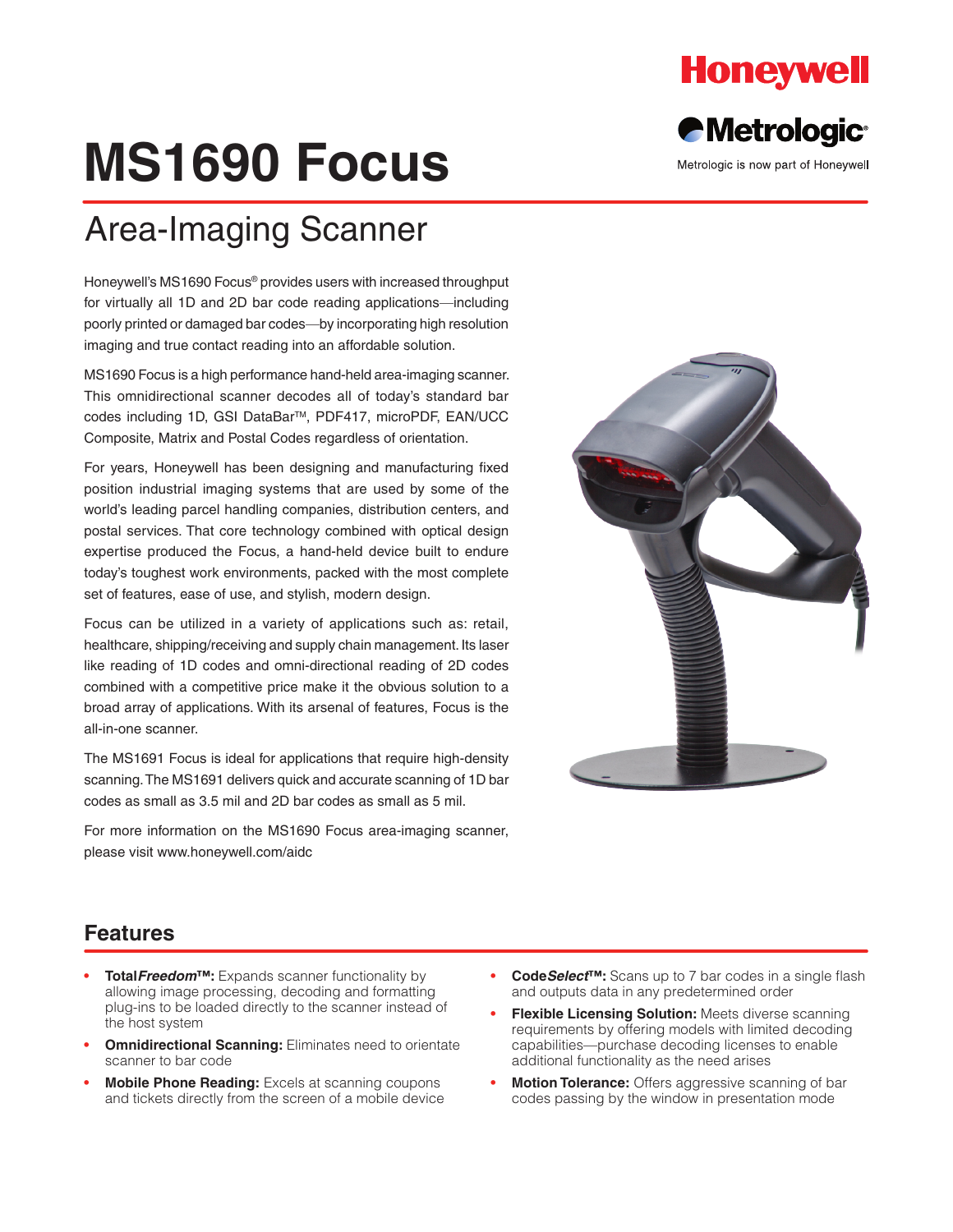

**Metrologic®** 

Metrologic is now part of Honeywell

# **MS1690 Focus**

## Area-Imaging Scanner

Honeywell's MS1690 Focus® provides users with increased throughput for virtually all 1D and 2D bar code reading applications—including poorly printed or damaged bar codes—by incorporating high resolution imaging and true contact reading into an affordable solution.

MS1690 Focus is a high performance hand-held area-imaging scanner. This omnidirectional scanner decodes all of today's standard bar codes including 1D, GSI DataBar™, PDF417, microPDF, EAN/UCC Composite, Matrix and Postal Codes regardless of orientation.

For years, Honeywell has been designing and manufacturing fixed position industrial imaging systems that are used by some of the world's leading parcel handling companies, distribution centers, and postal services. That core technology combined with optical design expertise produced the Focus, a hand-held device built to endure today's toughest work environments, packed with the most complete set of features, ease of use, and stylish, modern design.

Focus can be utilized in a variety of applications such as: retail, healthcare, shipping/receiving and supply chain management. Its laser like reading of 1D codes and omni-directional reading of 2D codes combined with a competitive price make it the obvious solution to a broad array of applications. With its arsenal of features, Focus is the all-in-one scanner.

The MS1691 Focus is ideal for applications that require high-density scanning. The MS1691 delivers quick and accurate scanning of 1D bar codes as small as 3.5 mil and 2D bar codes as small as 5 mil.

For more information on the MS1690 Focus area-imaging scanner, please visit www.honeywell.com/aidc



#### **Features**

- **• Total***Freedom***™:** Expands scanner functionality by allowing image processing, decoding and formatting plug-ins to be loaded directly to the scanner instead of the host system
- **Omnidirectional Scanning: Eliminates need to orientate** scanner to bar code
- **Mobile Phone Reading:** Excels at scanning coupons and tickets directly from the screen of a mobile device
- **• Code***Select***™:** Scans up to 7 bar codes in a single flash and outputs data in any predetermined order
- **Flexible Licensing Solution:** Meets diverse scanning requirements by offering models with limited decoding capabilities—purchase decoding licenses to enable additional functionality as the need arises
- **Motion Tolerance:** Offers aggressive scanning of bar codes passing by the window in presentation mode